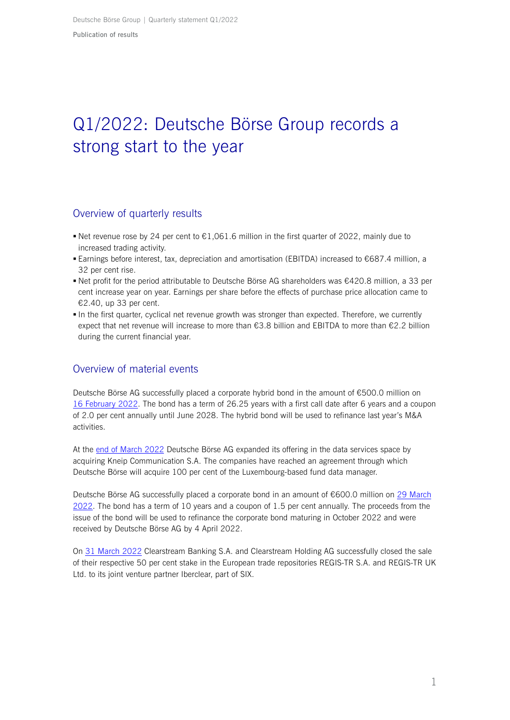# Q1/2022: Deutsche Börse Group records a strong start to the year

## Overview of quarterly results

- **Net revenue rose by 24 per cent to**  $\epsilon$ **1,061.6 million in the first quarter of 2022, mainly due to** increased trading activity.
- Earnings before interest, tax, depreciation and amortisation (EBITDA) increased to €687.4 million, a 32 per cent rise.
- Net profit for the period attributable to Deutsche Börse AG shareholders was €420.8 million, a 33 per cent increase year on year. Earnings per share before the effects of purchase price allocation came to €2.40, up 33 per cent.
- In the first quarter, cyclical net revenue growth was stronger than expected. Therefore, we currently expect that net revenue will increase to more than €3.8 billion and EBITDA to more than €2.2 billion during the current financial year.

# Overview of material events

Deutsche Börse AG successfully placed a corporate hybrid bond in the amount of €500.0 million on [16 February 2022.](https://deutsche-boerse.com/dbg-en/media/press-releases/Deutsche-B-rse-successfully-places-EUR-500-million-hybrid-bond-at-an-attractive-coupon-of-2-per-cent-2947028) The bond has a term of 26.25 years with a first call date after 6 years and a coupon of 2.0 per cent annually until June 2028. The hybrid bond will be used to refinance last year's M&A activities.

At the [end of March 2022](https://deutsche-boerse.com/dbg-en/media/press-releases/Deutsche-B-rse-Group-acquires-leading-fund-data-manager-Kneip-3026632) Deutsche Börse AG expanded its offering in the data services space by acquiring Kneip Communication S.A. The companies have reached an agreement through which Deutsche Börse will acquire 100 per cent of the Luxembourg-based fund data manager.

Deutsche Börse AG successfully placed a corporate bond in an amount of €600.0 million on [29 March](https://deutsche-boerse.com/dbg-en/media/press-releases/Deutsche-B-rse-successfully-places-EUR-600-million-corporate-bond-at-an-attractive-coupon-of-1.5-per-cent-3030064)  [2022.](https://deutsche-boerse.com/dbg-en/media/press-releases/Deutsche-B-rse-successfully-places-EUR-600-million-corporate-bond-at-an-attractive-coupon-of-1.5-per-cent-3030064) The bond has a term of 10 years and a coupon of 1.5 per cent annually. The proceeds from the issue of the bond will be used to refinance the corporate bond maturing in October 2022 and were received by Deutsche Börse AG by 4 April 2022.

On [31 March 2022](https://deutsche-boerse.com/dbg-en/media/press-releases/Clearstream-realigns-its-business-portfolio-after-careful-review-of-its-strategic-holdings--2766742) Clearstream Banking S.A. and Clearstream Holding AG successfully closed the sale of their respective 50 per cent stake in the European trade repositories REGIS-TR S.A. and REGIS-TR UK Ltd. to its joint venture partner Iberclear, part of SIX.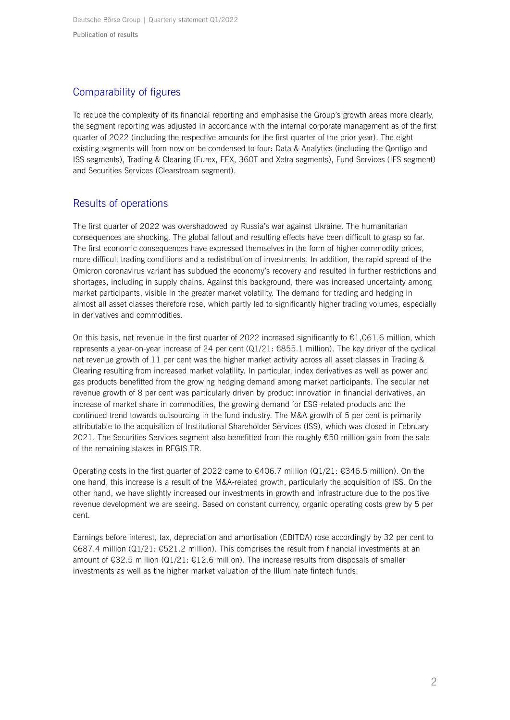Deutsche Börse Group | Quarterly statement Q1/2022 **Publication of results**

# Comparability of figures

To reduce the complexity of its financial reporting and emphasise the Group's growth areas more clearly, the segment reporting was adjusted in accordance with the internal corporate management as of the first quarter of 2022 (including the respective amounts for the first quarter of the prior year). The eight existing segments will from now on be condensed to four: Data & Analytics (including the Qontigo and ISS segments), Trading & Clearing (Eurex, EEX, 360T and Xetra segments), Fund Services (IFS segment) and Securities Services (Clearstream segment).

# Results of operations

The first quarter of 2022 was overshadowed by Russia's war against Ukraine. The humanitarian consequences are shocking. The global fallout and resulting effects have been difficult to grasp so far. The first economic consequences have expressed themselves in the form of higher commodity prices, more difficult trading conditions and a redistribution of investments. In addition, the rapid spread of the Omicron coronavirus variant has subdued the economy's recovery and resulted in further restrictions and shortages, including in supply chains. Against this background, there was increased uncertainty among market participants, visible in the greater market volatility. The demand for trading and hedging in almost all asset classes therefore rose, which partly led to significantly higher trading volumes, especially in derivatives and commodities.

On this basis, net revenue in the first quarter of 2022 increased significantly to  $\epsilon$ 1,061.6 million, which represents a year-on-year increase of 24 per cent (Q1/21: €855.1 million). The key driver of the cyclical net revenue growth of 11 per cent was the higher market activity across all asset classes in Trading & Clearing resulting from increased market volatility. In particular, index derivatives as well as power and gas products benefitted from the growing hedging demand among market participants. The secular net revenue growth of 8 per cent was particularly driven by product innovation in financial derivatives, an increase of market share in commodities, the growing demand for ESG-related products and the continued trend towards outsourcing in the fund industry. The M&A growth of 5 per cent is primarily attributable to the acquisition of Institutional Shareholder Services (ISS), which was closed in February 2021. The Securities Services segment also benefitted from the roughly €50 million gain from the sale of the remaining stakes in REGIS-TR.

Operating costs in the first quarter of 2022 came to  $\epsilon$ 406.7 million (Q1/21:  $\epsilon$ 346.5 million). On the one hand, this increase is a result of the M&A-related growth, particularly the acquisition of ISS. On the other hand, we have slightly increased our investments in growth and infrastructure due to the positive revenue development we are seeing. Based on constant currency, organic operating costs grew by 5 per cent.

Earnings before interest, tax, depreciation and amortisation (EBITDA) rose accordingly by 32 per cent to €687.4 million (Q1/21: €521.2 million). This comprises the result from financial investments at an amount of €32.5 million (Q1/21: €12.6 million). The increase results from disposals of smaller investments as well as the higher market valuation of the Illuminate fintech funds.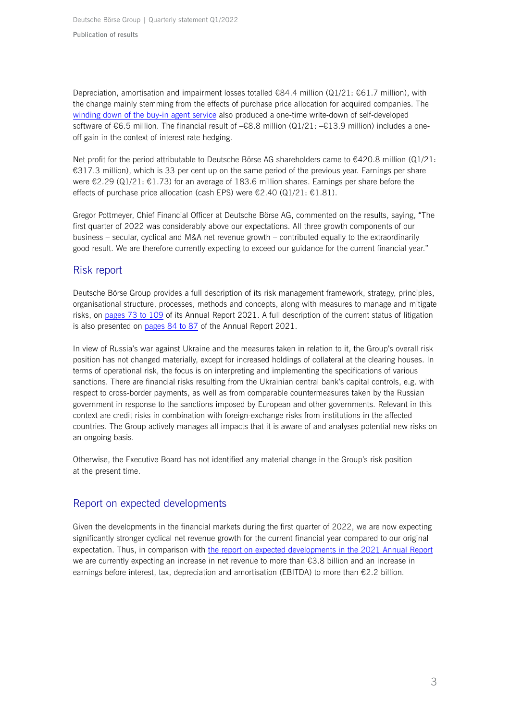Depreciation, amortisation and impairment losses totalled  $\epsilon$ 84.4 million (Q1/21:  $\epsilon$ 61.7 million), with the change mainly stemming from the effects of purchase price allocation for acquired companies. The [winding down of the buy-in agent service](https://deutsche-boerse.com/dbg-de/media/pressemitteilungen/Operational-wind-down-of-Eurex-STS-following-regulatory-changes-3026970) also produced a one-time write-down of self-developed software of €6.5 million. The financial result of –€8.8 million (Q1/21: –€13.9 million) includes a oneoff gain in the context of interest rate hedging.

Net profit for the period attributable to Deutsche Börse AG shareholders came to €420.8 million (Q1/21: €317.3 million), which is 33 per cent up on the same period of the previous year. Earnings per share were €2.29 (Q1/21: €1.73) for an average of 183.6 million shares. Earnings per share before the effects of purchase price allocation (cash EPS) were  $\epsilon$ 2.40 (Q1/21:  $\epsilon$ 1.81).

Gregor Pottmeyer, Chief Financial Officer at Deutsche Börse AG, commented on the results, saying, "The first quarter of 2022 was considerably above our expectations. All three growth components of our business – secular, cyclical and M&A net revenue growth – contributed equally to the extraordinarily good result. We are therefore currently expecting to exceed our guidance for the current financial year."

## Risk report

Deutsche Börse Group provides a full description of its risk management framework, strategy, principles, organisational structure, processes, methods and concepts, along with measures to manage and mitigate risks, on [pages 73](https://www.deutsche-boerse.com/resource/blob/2725920/46c9bf2ffcf7da4d6c23de616c518344/data/DBG-annual-report-2021.pdf#page=73) to 109 of its Annual Report 2021. A full description of the current status of litigation is also presented on [pages 84](https://www.deutsche-boerse.com/resource/blob/2725920/46c9bf2ffcf7da4d6c23de616c518344/data/DBG-annual-report-2021.pdf#page=84) to 87 of the Annual Report 2021.

In view of Russia's war against Ukraine and the measures taken in relation to it, the Group's overall risk position has not changed materially, except for increased holdings of collateral at the clearing houses. In terms of operational risk, the focus is on interpreting and implementing the specifications of various sanctions. There are financial risks resulting from the Ukrainian central bank's capital controls, e.g. with respect to cross-border payments, as well as from comparable countermeasures taken by the Russian government in response to the sanctions imposed by European and other governments. Relevant in this context are credit risks in combination with foreign-exchange risks from institutions in the affected countries. The Group actively manages all impacts that it is aware of and analyses potential new risks on an ongoing basis.

Otherwise, the Executive Board has not identified any material change in the Group's risk position at the present time.

# Report on expected developments

Given the developments in the financial markets during the first quarter of 2022, we are now expecting significantly stronger cyclical net revenue growth for the current financial year compared to our original expectation. Thus, in comparison with [the report on expected developments in](https://www.deutsche-boerse.com/resource/blob/2725920/46c9bf2ffcf7da4d6c23de616c518344/data/DBG-annual-report-2021.pdf#page=114) the 2021 Annual Report we are currently expecting an increase in net revenue to more than €3.8 billion and an increase in earnings before interest, tax, depreciation and amortisation (EBITDA) to more than €2.2 billion.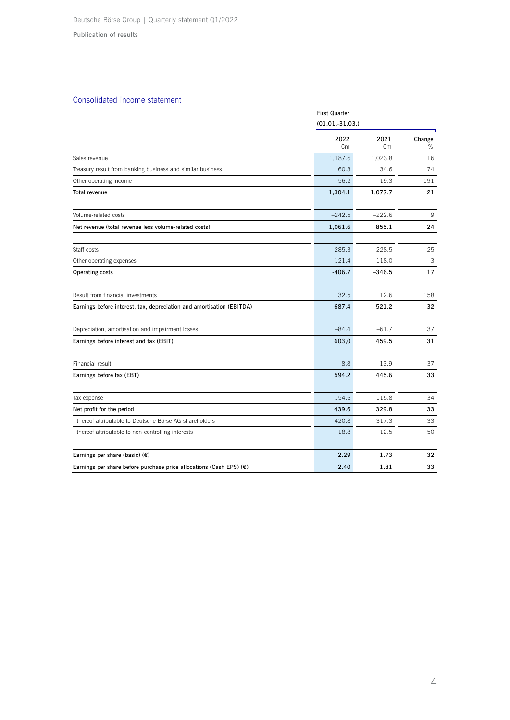#### **Publication of results**

#### Consolidated income statement

|                                                                       |            | <b>First Quarter</b><br>$(01.01.-31.03.)$ |             |  |
|-----------------------------------------------------------------------|------------|-------------------------------------------|-------------|--|
|                                                                       | 2022<br>€m | 2021<br>€m                                | Change<br>% |  |
| Sales revenue                                                         | 1,187.6    | 1,023.8                                   | 16          |  |
| Treasury result from banking business and similar business            | 60.3       | 34.6                                      | 74          |  |
| Other operating income                                                | 56.2       | 19.3                                      | 191         |  |
| Total revenue                                                         | 1,304.1    | 1,077.7                                   | 21          |  |
| Volume-related costs                                                  | $-242.5$   | $-222.6$                                  | 9           |  |
| Net revenue (total revenue less volume-related costs)                 | 1,061.6    | 855.1                                     | 24          |  |
| Staff costs                                                           | $-285.3$   | $-228.5$                                  | 25          |  |
| Other operating expenses                                              | $-121.4$   | $-118.0$                                  | 3           |  |
| Operating costs                                                       | $-406.7$   | $-346.5$                                  | 17          |  |
| Result from financial investments                                     | 32.5       | 12.6                                      | 158         |  |
| Earnings before interest, tax, depreciation and amortisation (EBITDA) | 687.4      | 521.2                                     | 32          |  |
| Depreciation, amortisation and impairment losses                      | $-84.4$    | $-61.7$                                   | 37          |  |
| Earnings before interest and tax (EBIT)                               | 603,0      | 459.5                                     | 31          |  |
| Financial result                                                      | $-8.8$     | $-13.9$                                   | $-37$       |  |
| Earnings before tax (EBT)                                             | 594.2      | 445.6                                     | 33          |  |
| Tax expense                                                           | $-154.6$   | $-115.8$                                  | 34          |  |
| Net profit for the period                                             | 439.6      | 329.8                                     | 33          |  |
| thereof attributable to Deutsche Börse AG shareholders                | 420.8      | 317.3                                     | 33          |  |
| thereof attributable to non-controlling interests                     | 18.8       | 12.5                                      | 50          |  |
| Earnings per share (basic) $(E)$                                      | 2.29       | 1.73                                      | 32          |  |
| Earnings per share before purchase price allocations (Cash EPS) $(E)$ | 2.40       | 1.81                                      | 33          |  |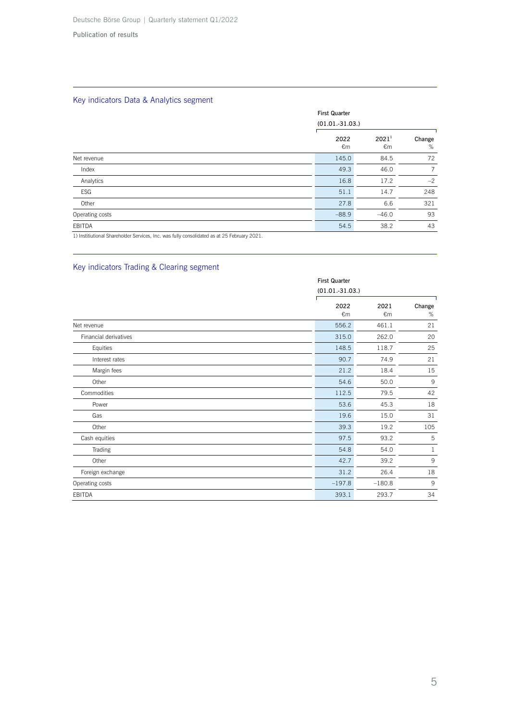## Key indicators Data & Analytics segment

|                                                                                             |            | <b>First Quarter</b><br>$(01.01.-31.03.)$ |             |  |
|---------------------------------------------------------------------------------------------|------------|-------------------------------------------|-------------|--|
|                                                                                             | 2022<br>€m | 2021 <sup>1</sup><br>€m                   | Change<br>% |  |
| Net revenue                                                                                 | 145.0      | 84.5                                      | 72          |  |
| Index                                                                                       | 49.3       | 46.0                                      | 7           |  |
| Analytics                                                                                   | 16.8       | 17.2                                      | $-2$        |  |
| ESG                                                                                         | 51.1       | 14.7                                      | 248         |  |
| Other                                                                                       | 27.8       | 6.6                                       | 321         |  |
| Operating costs                                                                             | $-88.9$    | $-46.0$                                   | 93          |  |
| EBITDA                                                                                      | 54.5       | 38.2                                      | 43          |  |
| 1) Institiutional Shareholder Services, Inc. was fully consolidated as at 25 February 2021. |            |                                           |             |  |

## Key indicators Trading & Clearing segment

|                       | <b>First Quarter</b><br>$(01.01.-31.03.)$ |                      |             |
|-----------------------|-------------------------------------------|----------------------|-------------|
|                       | 2022<br>€m                                | 2021<br>$\epsilon$ m | Change<br>% |
| Net revenue           | 556.2                                     | 461.1                | 21          |
| Financial derivatives | 315.0                                     | 262.0                | 20          |
| Equities              | 148.5                                     | 118.7                | 25          |
| Interest rates        | 90.7                                      | 74.9                 | 21          |
| Margin fees           | 21.2                                      | 18.4                 | 15          |
| Other                 | 54.6                                      | 50.0                 | 9           |
| Commodities           | 112.5                                     | 79.5                 | 42          |
| Power                 | 53.6                                      | 45.3                 | 18          |
| Gas                   | 19.6                                      | 15.0                 | 31          |
| Other                 | 39.3                                      | 19.2                 | 105         |
| Cash equities         | 97.5                                      | 93.2                 | 5           |
| Trading               | 54.8                                      | 54.0                 | 1           |
| Other                 | 42.7                                      | 39.2                 | 9           |
| Foreign exchange      | 31.2                                      | 26.4                 | 18          |
| Operating costs       | $-197.8$                                  | $-180.8$             | 9           |
| <b>EBITDA</b>         | 393.1                                     | 293.7                | 34          |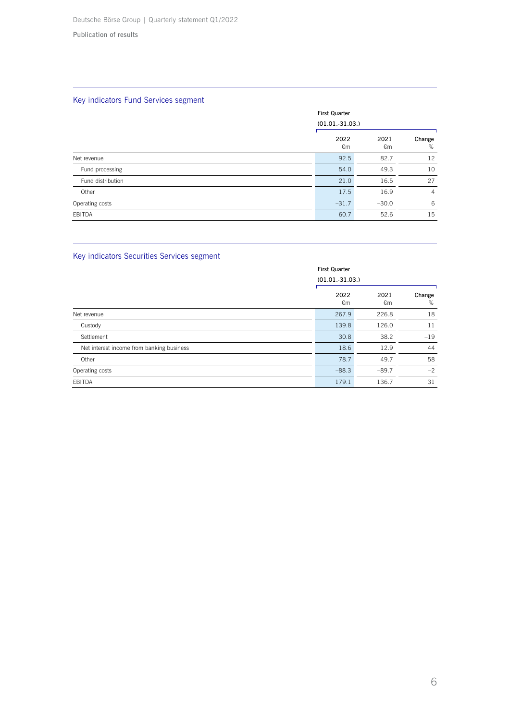## Key indicators Fund Services segment

|                   | <b>First Quarter</b> | $(01.01.-31.03.)$ |                |  |
|-------------------|----------------------|-------------------|----------------|--|
|                   | 2022<br>€m           | 2021<br>€m        | Change<br>%    |  |
| Net revenue       | 92.5                 | 82.7              | 12             |  |
| Fund processing   | 54.0                 | 49.3              | 10             |  |
| Fund distribution | 21.0                 | 16.5              | 27             |  |
| Other             | 17.5                 | 16.9              | $\overline{4}$ |  |
| Operating costs   | $-31.7$              | $-30.0$           | 6              |  |
| EBITDA            | 60.7                 | 52.6              | 15             |  |

## Key indicators Securities Services segment

| <b>First Quarter</b>                      |                   |            |             |
|-------------------------------------------|-------------------|------------|-------------|
|                                           | $(01.01.-31.03.)$ |            |             |
|                                           | 2022<br>€m        | 2021<br>€m | Change<br>% |
| Net revenue                               | 267.9             | 226.8      | 18          |
| Custody                                   | 139.8             | 126.0      | 11          |
| Settlement                                | 30.8              | 38.2       | $-19$       |
| Net interest income from banking business | 18.6              | 12.9       | 44          |
| Other                                     | 78.7              | 49.7       | 58          |
| Operating costs                           | $-88.3$           | $-89.7$    | $-2$        |
| <b>EBITDA</b>                             | 179.1             | 136.7      | 31          |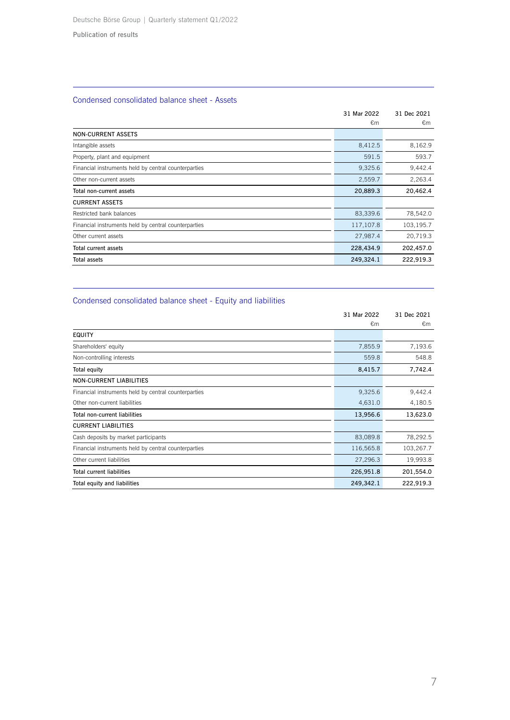## Condensed consolidated balance sheet - Assets

|                                                      | 31 Mar 2022 | 31 Dec 2021 |
|------------------------------------------------------|-------------|-------------|
|                                                      | €m          | €m          |
| <b>NON-CURRENT ASSETS</b>                            |             |             |
| Intangible assets                                    | 8,412.5     | 8,162.9     |
| Property, plant and equipment                        | 591.5       | 593.7       |
| Financial instruments held by central counterparties | 9,325.6     | 9,442.4     |
| Other non-current assets                             | 2,559.7     | 2,263.4     |
| Total non-current assets                             | 20,889.3    | 20,462.4    |
| <b>CURRENT ASSETS</b>                                |             |             |
| Restricted bank balances                             | 83,339.6    | 78,542.0    |
| Financial instruments held by central counterparties | 117,107.8   | 103,195.7   |
| Other current assets                                 | 27,987.4    | 20,719.3    |
| Total current assets                                 | 228,434.9   | 202,457.0   |
| <b>Total assets</b>                                  | 249,324.1   | 222,919.3   |

## Condensed consolidated balance sheet - Equity and liabilities

|                                                      | 31 Mar 2022 | 31 Dec 2021 |
|------------------------------------------------------|-------------|-------------|
|                                                      | €m          | €m          |
| <b>EQUITY</b>                                        |             |             |
| Shareholders' equity                                 | 7,855.9     | 7,193.6     |
| Non-controlling interests                            | 559.8       | 548.8       |
| Total equity                                         | 8,415.7     | 7,742.4     |
| <b>NON-CURRENT LIABILITIES</b>                       |             |             |
| Financial instruments held by central counterparties | 9,325.6     | 9,442.4     |
| Other non-current liabilities                        | 4,631.0     | 4,180.5     |
| Total non-current liabilities                        | 13,956.6    | 13,623.0    |
| <b>CURRENT LIABILITIES</b>                           |             |             |
| Cash deposits by market participants                 | 83,089.8    | 78,292.5    |
| Financial instruments held by central counterparties | 116,565.8   | 103,267.7   |
| Other current liabilities                            | 27,296.3    | 19,993.8    |
| <b>Total current liabilities</b>                     | 226,951.8   | 201,554.0   |
| Total equity and liabilities                         | 249,342.1   | 222,919.3   |